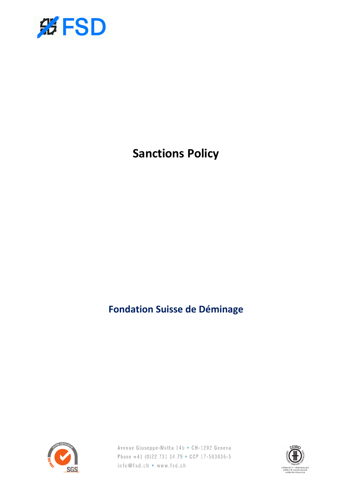

# **Sanctions Policy**

**Fondation Suisse de Déminage**



Avenue Giuseppe-Motta 14b • CH-1202 Geneva Phone +41 (0)22 731 14 79 • CCP 17-503036-5 info@fsd.ch • www.fsd.ch

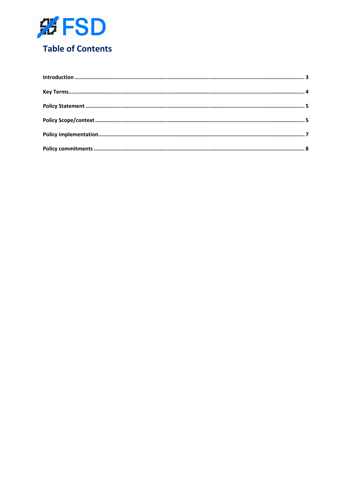

# **Table of Contents**

| $\label{lem:1} \mbox{Introduction} \,\, \ldots \,\, \ldots \,\, \ldots \,\, \ldots \,\, \ldots \,\, \ldots \,\, \ldots \,\, \ldots \,\, \ldots \,\, \ldots \,\, \ldots \,\, \ldots \,\, \ldots \,\, \ldots \,\, \ldots \,\, \ldots \,\, \ldots \,\, \ldots \,\, \ldots \,\, \ldots \,\, \ldots \,\, \ldots \,\, \ldots \,\, \ldots \,\, \ldots \,\, \ldots \,\, \ldots \,\, \ldots \,\, \ldots \,\, \ldots \,\, \ldots \,\, \ldots \,\, \ldots \,\, \ldots \,\,$ |  |
|------------------------------------------------------------------------------------------------------------------------------------------------------------------------------------------------------------------------------------------------------------------------------------------------------------------------------------------------------------------------------------------------------------------------------------------------------------------|--|
|                                                                                                                                                                                                                                                                                                                                                                                                                                                                  |  |
|                                                                                                                                                                                                                                                                                                                                                                                                                                                                  |  |
|                                                                                                                                                                                                                                                                                                                                                                                                                                                                  |  |
|                                                                                                                                                                                                                                                                                                                                                                                                                                                                  |  |
|                                                                                                                                                                                                                                                                                                                                                                                                                                                                  |  |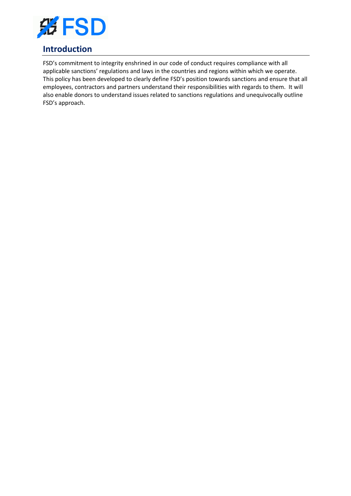

# **Introduction**

FSD's commitment to integrity enshrined in our code of conduct requires compliance with all applicable sanctions' regulations and laws in the countries and regions within which we operate. This policy has been developed to clearly define FSD's position towards sanctions and ensure that all employees, contractors and partners understand their responsibilities with regards to them. It will also enable donors to understand issues related to sanctions regulations and unequivocally outline FSD's approach.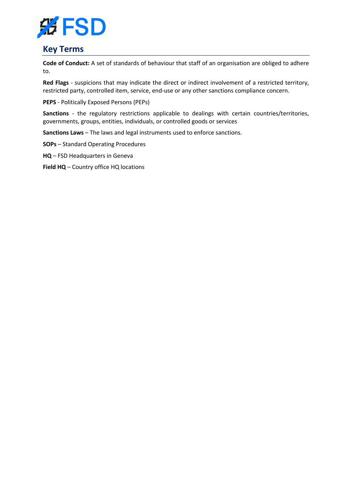

### **Key Terms**

**Code of Conduct:** A set of standards of behaviour that staff of an organisation are obliged to adhere to.

**Red Flags** - suspicions that may indicate the direct or indirect involvement of a restricted territory, restricted party, controlled item, service, end-use or any other sanctions compliance concern.

**PEPS** - Politically Exposed Persons (PEPs)

**Sanctions** - the regulatory restrictions applicable to dealings with certain countries/territories, governments, groups, entities, individuals, or controlled goods or services

**Sanctions Laws** – The laws and legal instruments used to enforce sanctions.

**SOPs** – Standard Operating Procedures

**HQ** – FSD Headquarters in Geneva

**Field HQ** – Country office HQ locations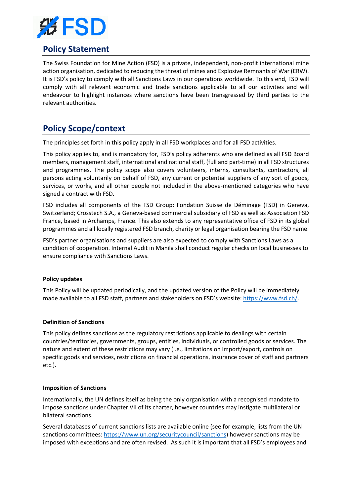

# **Policy Statement**

The Swiss Foundation for Mine Action (FSD) is a private, independent, non-profit international mine action organisation, dedicated to reducing the threat of mines and Explosive Remnants of War (ERW). It is FSD's policy to comply with all Sanctions Laws in our operations worldwide. To this end, FSD will comply with all relevant economic and trade sanctions applicable to all our activities and will endeavour to highlight instances where sanctions have been transgressed by third parties to the relevant authorities.

# **Policy Scope/context**

The principles set forth in this policy apply in all FSD workplaces and for all FSD activities.

This policy applies to, and is mandatory for, FSD's policy adherents who are defined as all FSD Board members, management staff, international and national staff, (full and part-time) in all FSD structures and programmes. The policy scope also covers volunteers, interns, consultants, contractors, all persons acting voluntarily on behalf of FSD, any current or potential suppliers of any sort of goods, services, or works, and all other people not included in the above-mentioned categories who have signed a contract with FSD.

FSD includes all components of the FSD Group: Fondation Suisse de Déminage (FSD) in Geneva, Switzerland; Crosstech S.A., a Geneva-based commercial subsidiary of FSD as well as Association FSD France, based in Archamps, France. This also extends to any representative office of FSD in its global programmes and all locally registered FSD branch, charity or legal organisation bearing the FSD name.

FSD's partner organisations and suppliers are also expected to comply with Sanctions Laws as a condition of cooperation. Internal Audit in Manila shall conduct regular checks on local businesses to ensure compliance with Sanctions Laws.

#### **Policy updates**

This Policy will be updated periodically, and the updated version of the Policy will be immediately made available to all FSD staff, partners and stakeholders on FSD's website: https://www.fsd.ch/.

#### **Definition of Sanctions**

This policy defines sanctions as the regulatory restrictions applicable to dealings with certain countries/territories, governments, groups, entities, individuals, or controlled goods or services. The nature and extent of these restrictions may vary (i.e., limitations on import/export, controls on specific goods and services, restrictions on financial operations, insurance cover of staff and partners etc.).

#### **Imposition of Sanctions**

Internationally, the UN defines itself as being the only organisation with a recognised mandate to impose sanctions under Chapter VII of its charter, however countries may instigate multilateral or bilateral sanctions.

Several databases of current sanctions lists are available online (see for example, lists from the UN sanctions committees: https://www.un.org/securitycouncil/sanctions) however sanctions may be imposed with exceptions and are often revised. As such it is important that all FSD's employees and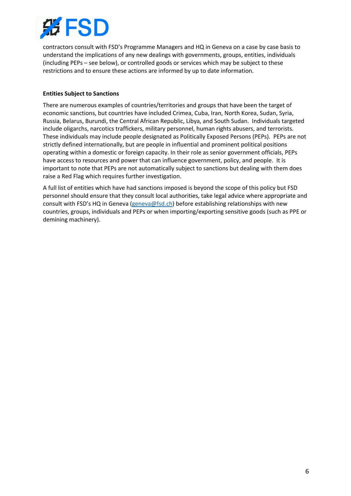

contractors consult with FSD's Programme Managers and HQ in Geneva on a case by case basis to understand the implications of any new dealings with governments, groups, entities, individuals (including PEPs – see below), or controlled goods or services which may be subject to these restrictions and to ensure these actions are informed by up to date information.

#### **Entities Subject to Sanctions**

There are numerous examples of countries/territories and groups that have been the target of economic sanctions, but countries have included Crimea, Cuba, Iran, North Korea, Sudan, Syria, Russia, Belarus, Burundi, the Central African Republic, Libya, and South Sudan. Individuals targeted include oligarchs, narcotics traffickers, military personnel, human rights abusers, and terrorists. These individuals may include people designated as Politically Exposed Persons (PEPs). PEPs are not strictly defined internationally, but are people in influential and prominent political positions operating within a domestic or foreign capacity. In their role as senior government officials, PEPs have access to resources and power that can influence government, policy, and people. It is important to note that PEPs are not automatically subject to sanctions but dealing with them does raise a Red Flag which requires further investigation.

A full list of entities which have had sanctions imposed is beyond the scope of this policy but FSD personnel should ensure that they consult local authorities, take legal advice where appropriate and consult with FSD's HQ in Geneva (geneva@fsd.ch) before establishing relationships with new countries, groups, individuals and PEPs or when importing/exporting sensitive goods (such as PPE or demining machinery).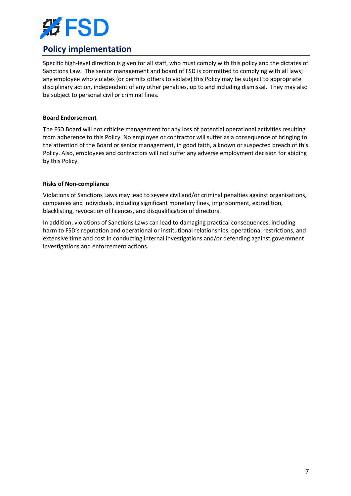

# **Policy implementation**

Specific high-level direction is given for all staff, who must comply with this policy and the dictates of Sanctions Law. The senior management and board of FSD is committed to complying with all laws; any employee who violates (or permits others to violate) this Policy may be subject to appropriate disciplinary action, independent of any other penalties, up to and including dismissal. They may also be subject to personal civil or criminal fines.

#### **Board Endorsement**

The FSD Board will not criticise management for any loss of potential operational activities resulting from adherence to this Policy. No employee or contractor will suffer as a consequence of bringing to the attention of the Board or senior management, in good faith, a known or suspected breach of this Policy. Also, employees and contractors will not suffer any adverse employment decision for abiding by this Policy.

#### **Risks of Non-compliance**

Violations of Sanctions Laws may lead to severe civil and/or criminal penalties against organisations, companies and individuals, including significant monetary fines, imprisonment, extradition, blacklisting, revocation of licences, and disqualification of directors.

In addition, violations of Sanctions Laws can lead to damaging practical consequences, including harm to FSD's reputation and operational or institutional relationships, operational restrictions, and extensive time and cost in conducting internal investigations and/or defending against government investigations and enforcement actions.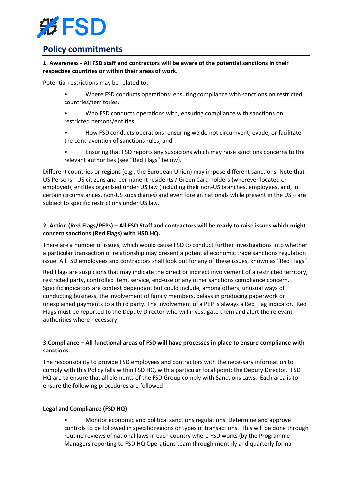

## **Policy commitments**

#### **1**. **Awareness - All FSD staff and contractors will be aware of the potential sanctions in their respective countries or within their areas of work**.

Potential restrictions may be related to:

- Where FSD conducts operations: ensuring compliance with sanctions on restricted countries/territories.
- Who FSD conducts operations with, ensuring compliance with sanctions on restricted persons/entities.
- How FSD conducts operations: ensuring we do not circumvent, evade, or facilitate the contravention of sanctions rules; and
- Ensuring that FSD reports any suspicions which may raise sanctions concerns to the relevant authorities (see "Red Flags" below).

Different countries or regions (e.g., the European Union) may impose different sanctions. Note that US Persons - US citizens and permanent residents / Green Card holders (wherever located or employed), entities organised under US law (including their non-US branches, employees, and, in certain circumstances, non-US subsidiaries) and even foreign nationals while present in the US – are subject to specific restrictions under US law.

#### **2. Action (Red Flags/PEPs) – All FSD Staff and contractors will be ready to raise issues which might concern sanctions (Red Flags) with HSD HQ.**

There are a number of issues, which would cause FSD to conduct further investigations into whether a particular transaction or relationship may present a potential economic trade sanctions regulation issue. All FSD employees and contractors shall look out for any of these issues, known as "Red Flags".

Red Flags are suspicions that may indicate the direct or indirect involvement of a restricted territory, restricted party, controlled item, service, end-use or any other sanctions compliance concern. Specific indicators are context dependant but could include, among others; unusual ways of conducting business, the involvement of family members, delays in producing paperwork or unexplained payments to a third party. The involvement of a PEP is always a Red Flag indicator. Red Flags must be reported to the Deputy Director who will investigate them and alert the relevant authorities where necessary.

#### **3**.**Compliance – All functional areas of FSD will have processes in place to ensure compliance with sanctions.**

The responsibility to provide FSD employees and contractors with the necessary information to comply with this Policy falls within FSD HQ, with a particular focal point: the Deputy Director. FSD HQ are to ensure that all elements of the FSD Group comply with Sanctions Laws. Each area is to ensure the following procedures are followed:

#### **Legal and Compliance (FSD HQ)**

• Monitor economic and political sanctions regulations. Determine and approve controls to be followed in specific regions or types of transactions. This will be done through routine reviews of national laws in each country where FSD works (by the Programme Managers reporting to FSD HQ Operations team through monthly and quarterly formal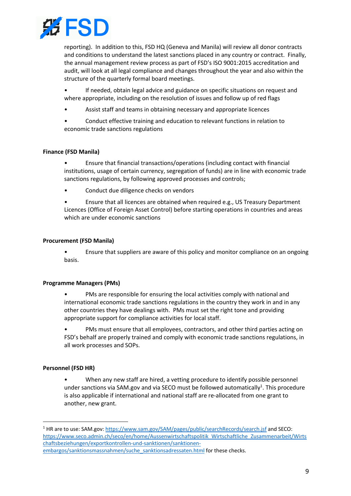

reporting). In addition to this, FSD HQ (Geneva and Manila) will review all donor contracts and conditions to understand the latest sanctions placed in any country or contract. Finally, the annual management review process as part of FSD's ISO 9001:2015 accreditation and audit, will look at all legal compliance and changes throughout the year and also within the structure of the quarterly formal board meetings.

If needed, obtain legal advice and guidance on specific situations on request and where appropriate, including on the resolution of issues and follow up of red flags

- Assist staff and teams in obtaining necessary and appropriate licences
- Conduct effective training and education to relevant functions in relation to economic trade sanctions regulations

#### **Finance (FSD Manila)**

• Ensure that financial transactions/operations (including contact with financial institutions, usage of certain currency, segregation of funds) are in line with economic trade sanctions regulations, by following approved processes and controls;

• Conduct due diligence checks on vendors

• Ensure that all licences are obtained when required e.g., US Treasury Department Licences (Office of Foreign Asset Control) before starting operations in countries and areas which are under economic sanctions

#### **Procurement (FSD Manila)**

• Ensure that suppliers are aware of this policy and monitor compliance on an ongoing basis.

#### **Programme Managers (PMs)**

• PMs are responsible for ensuring the local activities comply with national and international economic trade sanctions regulations in the country they work in and in any other countries they have dealings with. PMs must set the right tone and providing appropriate support for compliance activities for local staff.

• PMs must ensure that all employees, contractors, and other third parties acting on FSD's behalf are properly trained and comply with economic trade sanctions regulations, in all work processes and SOPs.

#### **Personnel (FSD HR)**

When any new staff are hired, a vetting procedure to identify possible personnel under sanctions via SAM.gov and via SECO must be followed automatically<sup>1</sup>. This procedure is also applicable if international and national staff are re-allocated from one grant to another, new grant.

<sup>&</sup>lt;sup>1</sup> HR are to use: SAM.gov: https://www.sam.gov/SAM/pages/public/searchRecords/search.jsf and SECO: https://www.seco.admin.ch/seco/en/home/Aussenwirtschaftspolitik\_Wirtschaftliche\_Zusammenarbeit/Wirts chaftsbeziehungen/exportkontrollen-und-sanktionen/sanktionenembargos/sanktionsmassnahmen/suche\_sanktionsadressaten.html for these checks.